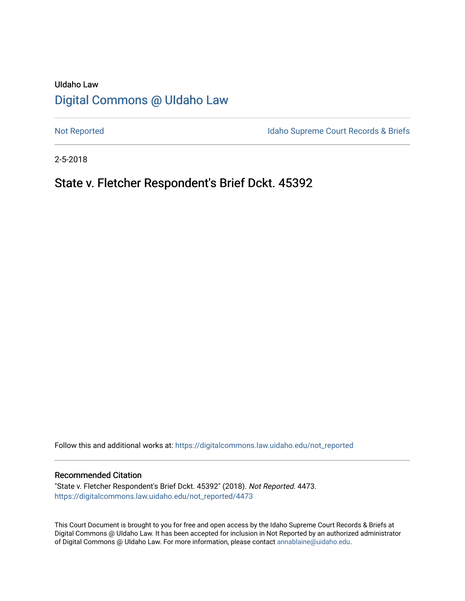# UIdaho Law [Digital Commons @ UIdaho Law](https://digitalcommons.law.uidaho.edu/)

[Not Reported](https://digitalcommons.law.uidaho.edu/not_reported) **Idaho Supreme Court Records & Briefs** 

2-5-2018

# State v. Fletcher Respondent's Brief Dckt. 45392

Follow this and additional works at: [https://digitalcommons.law.uidaho.edu/not\\_reported](https://digitalcommons.law.uidaho.edu/not_reported?utm_source=digitalcommons.law.uidaho.edu%2Fnot_reported%2F4473&utm_medium=PDF&utm_campaign=PDFCoverPages) 

#### Recommended Citation

"State v. Fletcher Respondent's Brief Dckt. 45392" (2018). Not Reported. 4473. [https://digitalcommons.law.uidaho.edu/not\\_reported/4473](https://digitalcommons.law.uidaho.edu/not_reported/4473?utm_source=digitalcommons.law.uidaho.edu%2Fnot_reported%2F4473&utm_medium=PDF&utm_campaign=PDFCoverPages)

This Court Document is brought to you for free and open access by the Idaho Supreme Court Records & Briefs at Digital Commons @ UIdaho Law. It has been accepted for inclusion in Not Reported by an authorized administrator of Digital Commons @ UIdaho Law. For more information, please contact [annablaine@uidaho.edu](mailto:annablaine@uidaho.edu).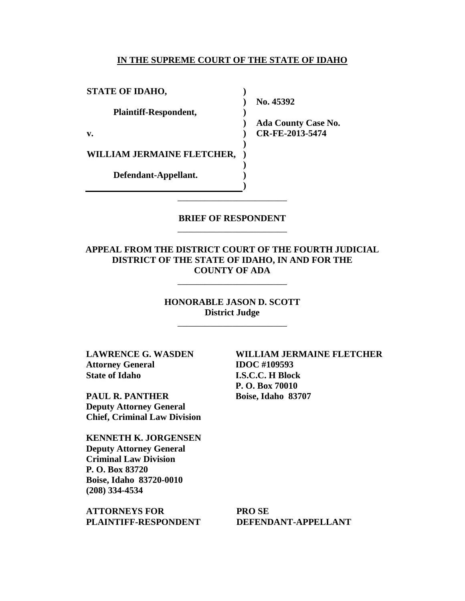#### **IN THE SUPREME COURT OF THE STATE OF IDAHO**

**)**

**)** 

**) ) ) ) ) )**

**STATE OF IDAHO,**

**Plaintiff-Respondent,**

**v.** 

**WILLIAM JERMAINE FLETCHER,** 

**Defendant-Appellant.**

**) No. 45392** 

**) Ada County Case No. CR-FE-2013-5474** 

## **BRIEF OF RESPONDENT** \_\_\_\_\_\_\_\_\_\_\_\_\_\_\_\_\_\_\_\_\_\_\_\_

\_\_\_\_\_\_\_\_\_\_\_\_\_\_\_\_\_\_\_\_\_\_\_\_

## **APPEAL FROM THE DISTRICT COURT OF THE FOURTH JUDICIAL DISTRICT OF THE STATE OF IDAHO, IN AND FOR THE COUNTY OF ADA**

\_\_\_\_\_\_\_\_\_\_\_\_\_\_\_\_\_\_\_\_\_\_\_\_

**HONORABLE JASON D. SCOTT District Judge**

\_\_\_\_\_\_\_\_\_\_\_\_\_\_\_\_\_\_\_\_\_\_\_\_

**LAWRENCE G. WASDEN Attorney General State of Idaho**

**PAUL R. PANTHER Deputy Attorney General Chief, Criminal Law Division**

**KENNETH K. JORGENSEN Deputy Attorney General Criminal Law Division P. O. Box 83720 Boise, Idaho 83720-0010 (208) 334-4534** 

**ATTORNEYS FOR PLAINTIFF-RESPONDENT** **WILLIAM JERMAINE FLETCHER IDOC #109593 I.S.C.C. H Block P. O. Box 70010 Boise, Idaho 83707** 

**PRO SE DEFENDANT-APPELLANT**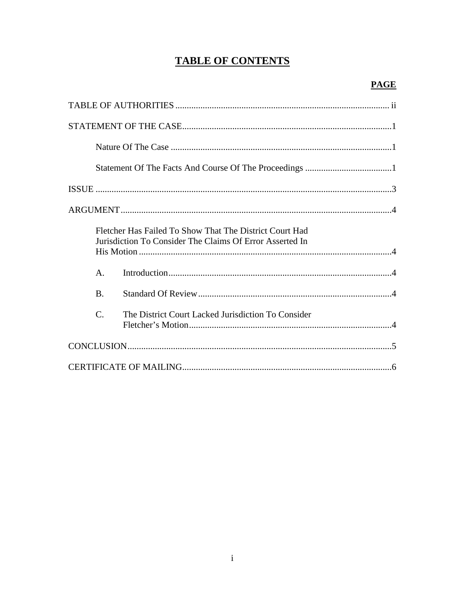# **TABLE OF CONTENTS**

|                 | Fletcher Has Failed To Show That The District Court Had<br>Jurisdiction To Consider The Claims Of Error Asserted In |  |
|-----------------|---------------------------------------------------------------------------------------------------------------------|--|
| $\mathsf{A}$ .  |                                                                                                                     |  |
| <b>B.</b>       |                                                                                                                     |  |
| $\mathcal{C}$ . | The District Court Lacked Jurisdiction To Consider                                                                  |  |
|                 |                                                                                                                     |  |
|                 |                                                                                                                     |  |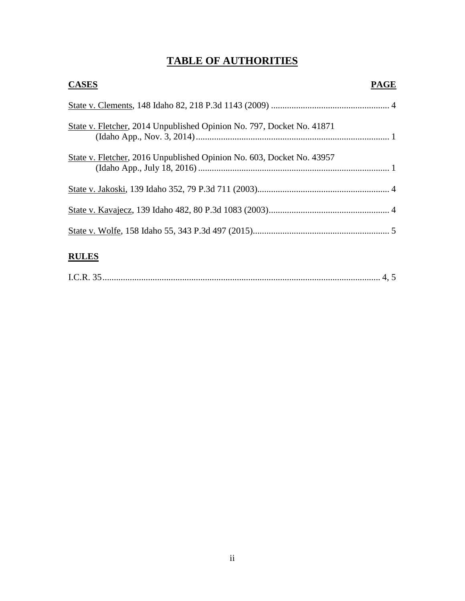# **TABLE OF AUTHORITIES**

| <b>CASES</b>                                                          | PAGE |
|-----------------------------------------------------------------------|------|
|                                                                       |      |
| State v. Fletcher, 2014 Unpublished Opinion No. 797, Docket No. 41871 |      |
| State v. Fletcher, 2016 Unpublished Opinion No. 603, Docket No. 43957 |      |
|                                                                       |      |
|                                                                       |      |
|                                                                       |      |
| <b>RULES</b>                                                          |      |

I.C.R. 35 .......................................................................................................................... 4, 5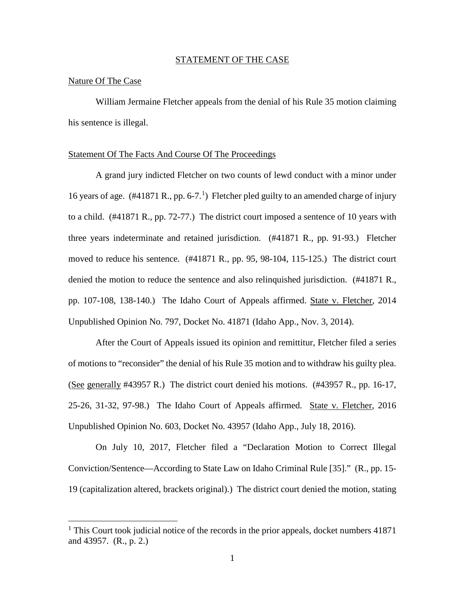#### STATEMENT OF THE CASE

### Nature Of The Case

 $\overline{a}$ 

William Jermaine Fletcher appeals from the denial of his Rule 35 motion claiming his sentence is illegal.

#### Statement Of The Facts And Course Of The Proceedings

A grand jury indicted Fletcher on two counts of lewd conduct with a minor under [1](#page-4-0)6 years of age.  $(\text{\#41871 R.}, \text{pp. 6-7.}^1)$  Fletcher pled guilty to an amended charge of injury to a child. (#41871 R., pp. 72-77.) The district court imposed a sentence of 10 years with three years indeterminate and retained jurisdiction. (#41871 R., pp. 91-93.) Fletcher moved to reduce his sentence. (#41871 R., pp. 95, 98-104, 115-125.) The district court denied the motion to reduce the sentence and also relinquished jurisdiction. (#41871 R., pp. 107-108, 138-140.) The Idaho Court of Appeals affirmed. State v. Fletcher, 2014 Unpublished Opinion No. 797, Docket No. 41871 (Idaho App., Nov. 3, 2014).

 After the Court of Appeals issued its opinion and remittitur, Fletcher filed a series of motions to "reconsider" the denial of his Rule 35 motion and to withdraw his guilty plea. (See generally #43957 R.) The district court denied his motions. (#43957 R., pp. 16-17, 25-26, 31-32, 97-98.) The Idaho Court of Appeals affirmed. State v. Fletcher, 2016 Unpublished Opinion No. 603, Docket No. 43957 (Idaho App., July 18, 2016).

On July 10, 2017, Fletcher filed a "Declaration Motion to Correct Illegal Conviction/Sentence—According to State Law on Idaho Criminal Rule [35]." (R., pp. 15- 19 (capitalization altered, brackets original).) The district court denied the motion, stating

<span id="page-4-0"></span><sup>&</sup>lt;sup>1</sup> This Court took judicial notice of the records in the prior appeals, docket numbers 41871 and 43957. (R., p. 2.)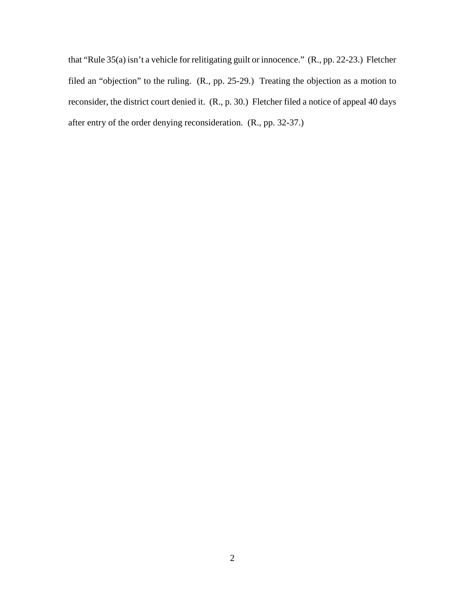that "Rule 35(a) isn't a vehicle for relitigating guilt or innocence." (R., pp. 22-23.) Fletcher filed an "objection" to the ruling. (R., pp. 25-29.) Treating the objection as a motion to reconsider, the district court denied it. (R., p. 30.) Fletcher filed a notice of appeal 40 days after entry of the order denying reconsideration. (R., pp. 32-37.)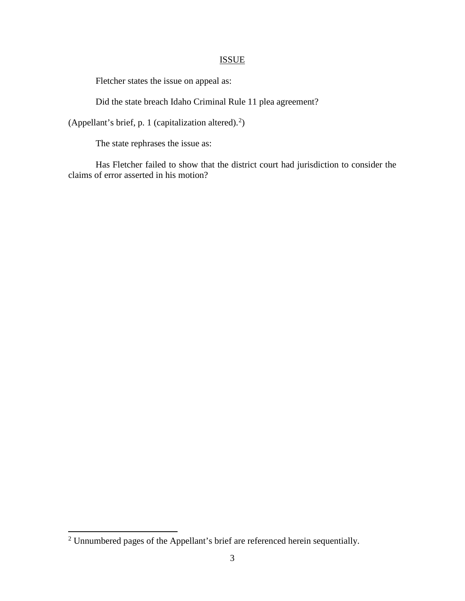# **ISSUE**

Fletcher states the issue on appeal as:

Did the state breach Idaho Criminal Rule 11 plea agreement?

(Appellant's brief, p. 1 (capitalization altered).<sup>[2](#page-6-0)</sup>)

The state rephrases the issue as:

Has Fletcher failed to show that the district court had jurisdiction to consider the claims of error asserted in his motion?

 $\overline{a}$ 

<span id="page-6-0"></span> $2$  Unnumbered pages of the Appellant's brief are referenced herein sequentially.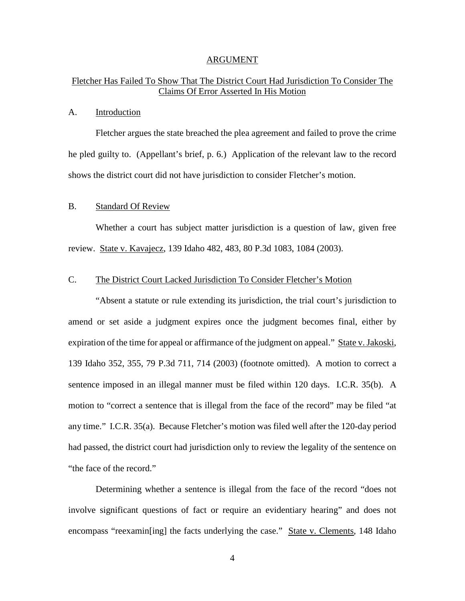#### ARGUMENT

# Fletcher Has Failed To Show That The District Court Had Jurisdiction To Consider The Claims Of Error Asserted In His Motion

### A. Introduction

Fletcher argues the state breached the plea agreement and failed to prove the crime he pled guilty to. (Appellant's brief, p. 6.) Application of the relevant law to the record shows the district court did not have jurisdiction to consider Fletcher's motion.

#### B. Standard Of Review

Whether a court has subject matter jurisdiction is a question of law, given free review. State v. Kavajecz, 139 Idaho 482, 483, 80 P.3d 1083, 1084 (2003).

### C. The District Court Lacked Jurisdiction To Consider Fletcher's Motion

"Absent a statute or rule extending its jurisdiction, the trial court's jurisdiction to amend or set aside a judgment expires once the judgment becomes final, either by expiration of the time for appeal or affirmance of the judgment on appeal." State v. Jakoski, 139 Idaho 352, 355, 79 P.3d 711, 714 (2003) (footnote omitted). A motion to correct a sentence imposed in an illegal manner must be filed within 120 days. I.C.R. 35(b). A motion to "correct a sentence that is illegal from the face of the record" may be filed "at any time." I.C.R. 35(a). Because Fletcher's motion was filed well after the 120-day period had passed, the district court had jurisdiction only to review the legality of the sentence on "the face of the record."

Determining whether a sentence is illegal from the face of the record "does not involve significant questions of fact or require an evidentiary hearing" and does not encompass "reexamin[ing] the facts underlying the case." State v. Clements, 148 Idaho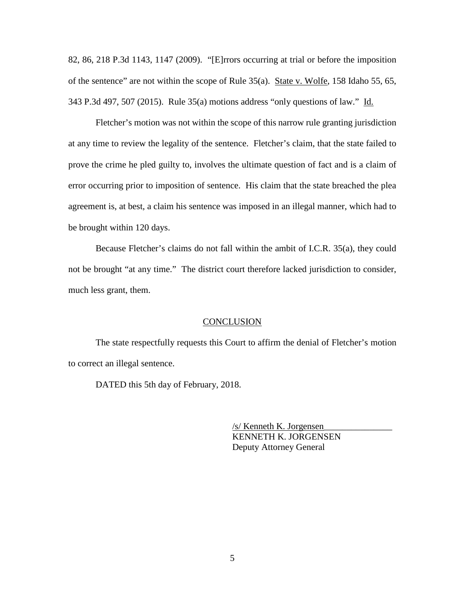82, 86, 218 P.3d 1143, 1147 (2009). "[E]rrors occurring at trial or before the imposition of the sentence" are not within the scope of Rule 35(a). State v. Wolfe, 158 Idaho 55, 65, 343 P.3d 497, 507 (2015). Rule 35(a) motions address "only questions of law." Id.

Fletcher's motion was not within the scope of this narrow rule granting jurisdiction at any time to review the legality of the sentence. Fletcher's claim, that the state failed to prove the crime he pled guilty to, involves the ultimate question of fact and is a claim of error occurring prior to imposition of sentence. His claim that the state breached the plea agreement is, at best, a claim his sentence was imposed in an illegal manner, which had to be brought within 120 days.

Because Fletcher's claims do not fall within the ambit of I.C.R. 35(a), they could not be brought "at any time." The district court therefore lacked jurisdiction to consider, much less grant, them.

### **CONCLUSION**

The state respectfully requests this Court to affirm the denial of Fletcher's motion to correct an illegal sentence.

DATED this 5th day of February, 2018.

 /s/ Kenneth K. Jorgensen\_\_\_\_\_\_\_\_\_\_\_\_\_\_\_ KENNETH K. JORGENSEN Deputy Attorney General